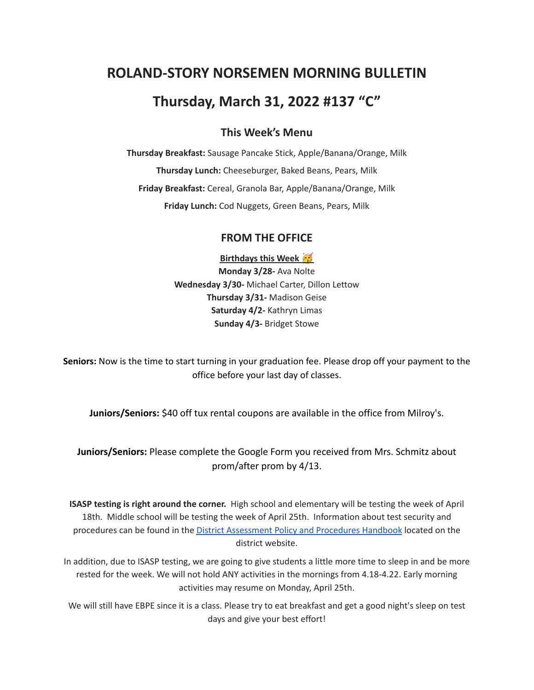# **ROLAND-STORY NORSEMEN MORNING BULLETIN**

# **Thursday, March 31, 2022 #137 "C"**

# **This Week's Menu**

**Thursday Breakfast:** Sausage Pancake Stick, Apple/Banana/Orange, Milk **Thursday Lunch:** Cheeseburger, Baked Beans, Pears, Milk **Friday Breakfast:** Cereal, Granola Bar, Apple/Banana/Orange, Milk **Friday Lunch:** Cod Nuggets, Green Beans, Pears, Milk

## **FROM THE OFFICE**

**Birthdays this Week Monday 3/28-** Ava Nolte **Wednesday 3/30-** Michael Carter, Dillon Lettow **Thursday 3/31-** Madison Geise **Saturday 4/2-** Kathryn Limas **Sunday 4/3-** Bridget Stowe

**Seniors:** Now is the time to start turning in your graduation fee. Please drop off your payment to the office before your last day of classes.

**Juniors/Seniors:** \$40 off tux rental coupons are available in the office from Milroy's.

# **Juniors/Seniors:** Please complete the Google Form you received from Mrs. Schmitz about prom/after prom by 4/13.

**ISASP testing is right around the corner.** High school and elementary will be testing the week of April 18th. Middle school will be testing the week of April 25th. Information about test security and procedures can be found in the District [Assessment](https://rolandstory.school/media/Michelle%20Soderstrum/RSCSD_District_Assessment_Poli%20-%20Copy%203.pdf) Policy and Procedures Handbook located on the district website.

In addition, due to ISASP testing, we are going to give students a little more time to sleep in and be more rested for the week. We will not hold ANY activities in the mornings from 4.18-4.22. Early morning activities may resume on Monday, April 25th.

We will still have EBPE since it is a class. Please try to eat breakfast and get a good night's sleep on test days and give your best effort!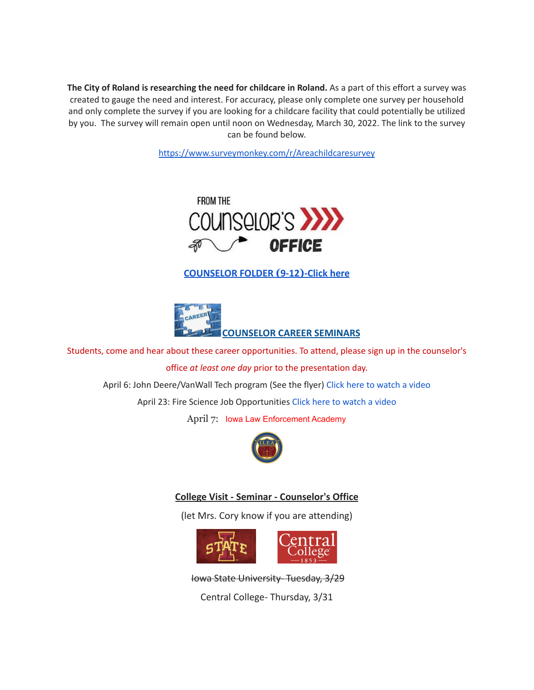**The City of Roland is researching the need for childcare in Roland.** As a part of this effort a survey was created to gauge the need and interest. For accuracy, please only complete one survey per household and only complete the survey if you are looking for a childcare facility that could potentially be utilized by you. The survey will remain open until noon on Wednesday, March 30, 2022. The link to the survey can be found below.

<https://www.surveymonkey.com/r/Areachildcaresurvey>



**[COUNSELOR FOLDER](https://docs.google.com/document/d/1vmwczNPbDzXe9vFaG5LJMQ7NYDv-i4oQJHybqA65TUc/edit?usp=sharing) (9-12)-Click here**



Students, come and hear about these career opportunities. To attend, please sign up in the counselor's

office *at least one day* prior to the presentation day.

April 6: John Deere/VanWall Tech program (See the flyer) Click here to [watch](https://www.youtube.com/watch?v=h0zPXGK_n_c) a video

April 23: Fire Science Job Opportunities Click here to [watch](https://www.youtube.com/watch?v=xBXR6h_2eWg) a video

April 7: Iowa Law Enforcement Academy



#### **College Visit - Seminar - Counselor's Office**

(let Mrs. Cory know if you are attending)



Iowa State University- Tuesday, 3/29

Central College- Thursday, 3/31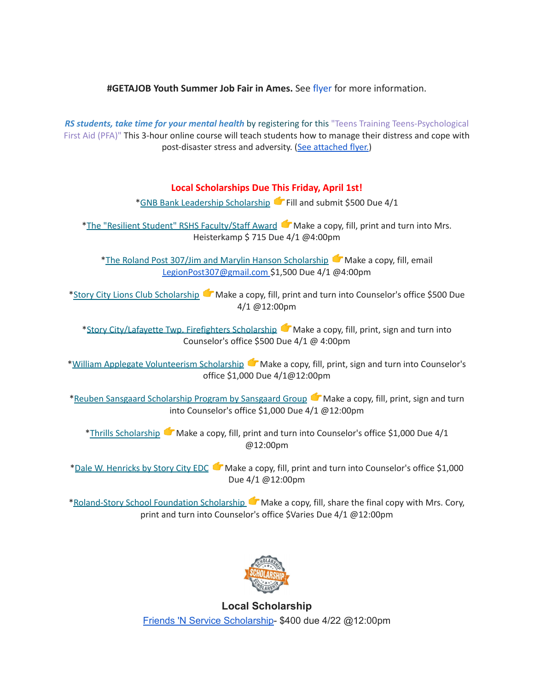**#GETAJOB Youth Summer Job Fair in Ames.** See [flyer](https://drive.google.com/file/d/19PRxPHgJE0Wyssa45Q2YrSued6K3SDaH/view?usp=sharing) for more information.

*RS students, take time for your mental health* by registering for this "Teens Training Teens-Psychological First Aid (PFA)" This 3-hour online course will teach students how to manage their distress and cope with post-disaster stress and adversity. (See [attached](https://drive.google.com/file/d/18ZxsDgb9mTVccDP5AD1ejwqoEi1MNUwE/view?usp=sharing) flyer.)

## **Local Scholarships Due This Friday, April 1st!**

\*GNB Bank Leadership [Scholarship](https://www.gnbbank.com/resources/story-city-leadership-scholarship) Fill and submit \$500 Due 4/1

\*The "Resilient Student" RSHS [Faculty/Staff](https://docs.google.com/document/d/1DolWUUWkhc9uRV9cDZrlwnYTIr44UcPiFxY4Xkupsj0/edit?usp=sharing) Award Make a copy, fill, print and turn into Mrs. Heisterkamp \$ 715 Due 4/1 @4:00pm

\*The Roland Post 307/Jim and Marylin Hanson [Scholarship](https://docs.google.com/document/d/1hGUuBTFqrA-IeXjmN94zoUkQR-ErMDrUDyJX0Yc3fx0/edit?usp=sharing)  $\bullet$  Make a copy, fill, email LegionPost307@gmail.com \$1,500 Due 4/1 @4:00pm

\*Story City Lions Club [Scholarship](https://docs.google.com/document/d/1z7ucMbK4WEvvNb9NVBe3FD28h53iTSawX8qWUl0m6oA/edit?usp=sharing) Make a copy, fill, print and turn into Counselor's office \$500 Due 4/1 @12:00pm

\*Story [City/Lafayette](https://docs.google.com/document/d/1DRZOK0yQEV5eI7SDx7LBRARU3wUClkRxSl4DFl1TSOU/edit?usp=sharing) Twp. Firefighters Scholarship Make a copy, fill, print, sign and turn into Counselor's office \$500 Due 4/1 @ 4:00pm

\*William Applegate [Volunteerism](https://docs.google.com/document/d/1w4rNFOTwAFqpjEvS-51FwYbhvd6fQvigs1578zBW-tw/edit?usp=sharing) Scholarship Make a copy, fill, print, sign and turn into Counselor's office \$1,000 Due 4/1@12:00pm

\*Reuben Sansgaard [Scholarship](https://docs.google.com/document/d/1LR2RwFYr7AG3FUyGWVx12ymv-TE93qQbHet9jzHKVyU/edit?usp=sharing) Program by Sansgaard Group **C** Make a copy, fill, print, sign and turn into Counselor's office \$1,000 Due 4/1 @12:00pm

\*Thrills [Scholarship](https://docs.google.com/document/d/1QJta3C5yzfZrCdazRN4EIHX3l1EGl8av38jpxH3JqyU/edit?usp=sharing)  $\bullet$  Make a copy, fill, print and turn into Counselor's office \$1,000 Due 4/1 @12:00pm

\*Dale W. [Henricks](https://docs.google.com/document/d/1QlRIHdvRzmxNbdfucF4hyEJ2MzvAer_LqN1C1bAIIOk/edit?usp=sharing) by Story City EDC Make a copy, fill, print and turn into Counselor's office \$1,000 Due 4/1 @12:00pm

[\\*Roland-Story](https://docs.google.com/document/d/1L-tgrmtRhI17mbAynBf7wRqcn4feF0ftZ4YQ7eolHUI/edit) School Foundation Scholarship Make a copy, fill, share the final copy with Mrs. Cory, print and turn into Counselor's office \$Varies Due 4/1 @12:00pm



**Local Scholarship** Friends 'N Service [Scholarship-](https://docs.google.com/document/d/1YxuVTwJ-CIinoMlmP1qQKGAZsTg1ZqAjS9JUfoK-CpY/edit?usp=sharing) \$400 due 4/22 @12:00pm